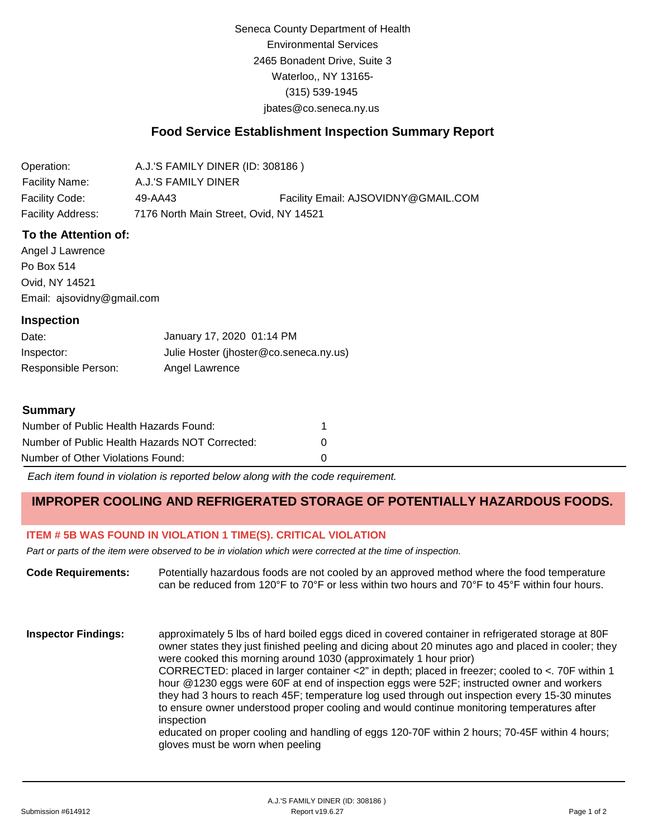Seneca County Department of Health Environmental Services 2465 Bonadent Drive, Suite 3 Waterloo,, NY 13165- (315) 539-1945 [jbates@co.seneca.ny.us](mailto:jbates@co.seneca.ny.us)

## **Food Service Establishment Inspection Summary Report**

| Operation:            | A.J.'S FAMILY DINER (ID: 308186)       |                                     |
|-----------------------|----------------------------------------|-------------------------------------|
| <b>Facility Name:</b> | A.J.'S FAMILY DINER                    |                                     |
| Facility Code:        | 49-AA43                                | Facility Email: AJSOVIDNY@GMAIL.COM |
| Facility Address:     | 7176 North Main Street, Ovid, NY 14521 |                                     |

### **To the Attention of:**

Angel J Lawrence Po Box 514 Ovid, NY 14521 [Email: ajsovidny@gmail.com](mailto:ajsovidny@gmail.com)

#### **Inspection**

| Date:               | January 17, 2020 01:14 PM              |
|---------------------|----------------------------------------|
| Inspector:          | Julie Hoster (jhoster@co.seneca.ny.us) |
| Responsible Person: | Angel Lawrence                         |

#### **Summary**

| Number of Public Health Hazards Found:         |   |
|------------------------------------------------|---|
| Number of Public Health Hazards NOT Corrected: | n |
| Number of Other Violations Found:              |   |

*Each item found in violation is reported below along with the code requirement.*

# **IMPROPER COOLING AND REFRIGERATED STORAGE OF POTENTIALLY HAZARDOUS FOODS.**

## **ITEM # 5B WAS FOUND IN VIOLATION 1 TIME(S). CRITICAL VIOLATION**

*Part or parts of the item were observed to be in violation which were corrected at the time of inspection.*

**Code Requirements:** Potentially hazardous foods are not cooled by an approved method where the food temperature can be reduced from 120°F to 70°F or less within two hours and 70°F to 45°F within four hours.

**Inspector Findings:** approximately 5 lbs of hard boiled eggs diced in covered container in refrigerated storage at 80F owner states they just finished peeling and dicing about 20 minutes ago and placed in cooler; they were cooked this morning around 1030 (approximately 1 hour prior) CORRECTED: placed in larger container <2" in depth; placed in freezer; cooled to <. 70F within 1 hour @1230 eggs were 60F at end of inspection eggs were 52F; instructed owner and workers they had 3 hours to reach 45F; temperature log used through out inspection every 15-30 minutes to ensure owner understood proper cooling and would continue monitoring temperatures after inspection educated on proper cooling and handling of eggs 120-70F within 2 hours; 70-45F within 4 hours; gloves must be worn when peeling